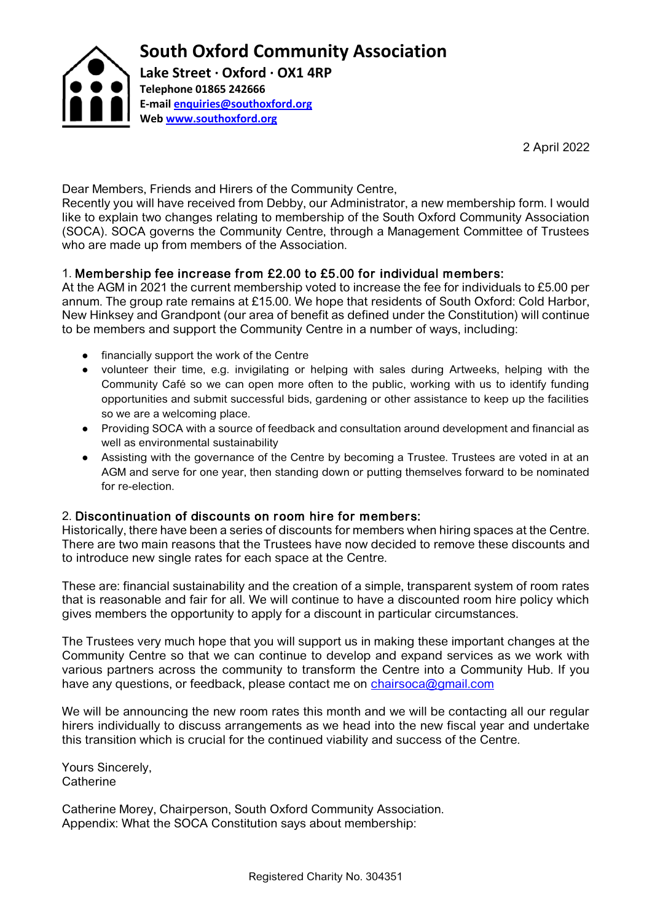

2 April 2022

Dear Members, Friends and Hirers of the Community Centre,

Recently you will have received from Debby, our Administrator, a new membership form. I would like to explain two changes relating to membership of the South Oxford Community Association (SOCA). SOCA governs the Community Centre, through a Management Committee of Trustees who are made up from members of the Association.

## 1. Membership fee increase from £2.00 to £5.00 for individual members:

At the AGM in 2021 the current membership voted to increase the fee for individuals to £5.00 per annum. The group rate remains at £15.00. We hope that residents of South Oxford: Cold Harbor, New Hinksey and Grandpont (our area of benefit as defined under the Constitution) will continue to be members and support the Community Centre in a number of ways, including:

- financially support the work of the Centre
- volunteer their time, e.g. invigilating or helping with sales during Artweeks, helping with the Community Café so we can open more often to the public, working with us to identify funding opportunities and submit successful bids, gardening or other assistance to keep up the facilities so we are a welcoming place.
- Providing SOCA with a source of feedback and consultation around development and financial as well as environmental sustainability
- Assisting with the governance of the Centre by becoming a Trustee. Trustees are voted in at an AGM and serve for one year, then standing down or putting themselves forward to be nominated for re-election.

## 2. Discontinuation of discounts on room hire for members:

Historically, there have been a series of discounts for members when hiring spaces at the Centre. There are two main reasons that the Trustees have now decided to remove these discounts and to introduce new single rates for each space at the Centre.

These are: financial sustainability and the creation of a simple, transparent system of room rates that is reasonable and fair for all. We will continue to have a discounted room hire policy which gives members the opportunity to apply for a discount in particular circumstances.

The Trustees very much hope that you will support us in making these important changes at the Community Centre so that we can continue to develop and expand services as we work with various partners across the community to transform the Centre into a Community Hub. If you have any questions, or feedback, please contact me on [chairsoca@gmail.com](mailto:chairsoca@gmail.com)

We will be announcing the new room rates this month and we will be contacting all our regular hirers individually to discuss arrangements as we head into the new fiscal year and undertake this transition which is crucial for the continued viability and success of the Centre.

Yours Sincerely, **Catherine** 

Catherine Morey, Chairperson, South Oxford Community Association. Appendix: What the SOCA Constitution says about membership: